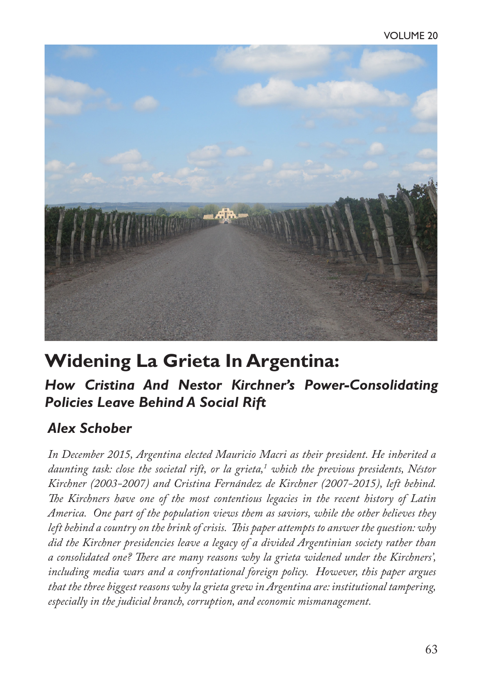

# **Widening La Grieta In Argentina:**

## *How Cristina And Nestor Kirchner's Power-Consolidating Policies Leave Behind A Social Rift*

### *Alex Schober*

*In December 2015, Argentina elected Mauricio Macri as their president. He inherited a daunting task: close the societal rift, or la grieta,1 which the previous presidents, Néstor Kirchner (2003-2007) and Cristina Fernández de Kirchner (2007-2015), left behind. The Kirchners have one of the most contentious legacies in the recent history of Latin America. One part of the population views them as saviors, while the other believes they left behind a country on the brink of crisis. This paper attempts to answer the question: why did the Kirchner presidencies leave a legacy of a divided Argentinian society rather than a consolidated one? There are many reasons why la grieta widened under the Kirchners',*  including media wars and a confrontational foreign policy. However, this paper argues *that the three biggest reasons why la grieta grew in Argentina are: institutional tampering, especially in the judicial branch, corruption, and economic mismanagement.*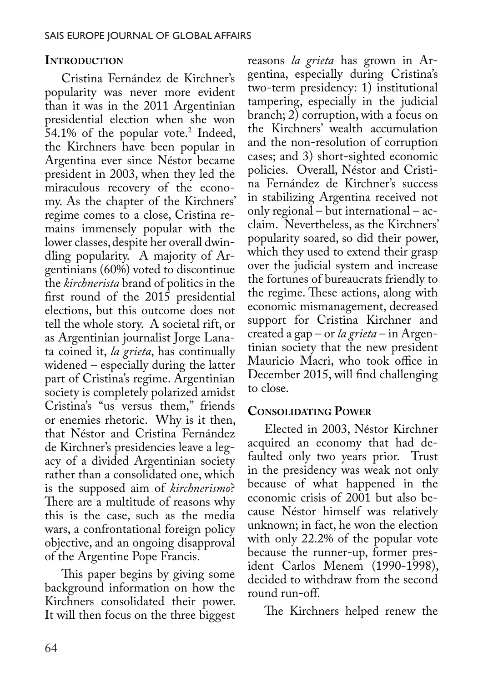#### **INTRODUCTION**

Cristina Fernández de Kirchner's popularity was never more evident than it was in the 2011 Argentinian presidential election when she won  $54.1\%$  of the popular vote.<sup>2</sup> Indeed, the Kirchners have been popular in Argentina ever since Néstor became president in 2003, when they led the miraculous recovery of the economy. As the chapter of the Kirchners' regime comes to a close, Cristina remains immensely popular with the lower classes, despite her overall dwindling popularity. A majority of Argentinians (60%) voted to discontinue the *kirchnerista* brand of politics in the first round of the 2015 presidential elections, but this outcome does not tell the whole story. A societal rift, or as Argentinian journalist Jorge Lanata coined it, *la grieta*, has continually widened – especially during the latter part of Cristina's regime. Argentinian society is completely polarized amidst Cristina's "us versus them," friends or enemies rhetoric. Why is it then, that Néstor and Cristina Fernández de Kirchner's presidencies leave a legacy of a divided Argentinian society rather than a consolidated one, which is the supposed aim of *kirchnerismo*? There are a multitude of reasons why this is the case, such as the media wars, a confrontational foreign policy objective, and an ongoing disapproval of the Argentine Pope Francis.

This paper begins by giving some background information on how the Kirchners consolidated their power. It will then focus on the three biggest

reasons *la grieta* has grown in Argentina, especially during Cristina's two-term presidency: 1) institutional tampering, especially in the judicial branch; 2) corruption, with a focus on the Kirchners' wealth accumulation and the non-resolution of corruption cases; and 3) short-sighted economic policies. Overall, Néstor and Cristina Fernández de Kirchner's success in stabilizing Argentina received not only regional – but international – acclaim. Nevertheless, as the Kirchners' popularity soared, so did their power, which they used to extend their grasp over the judicial system and increase the fortunes of bureaucrats friendly to the regime. These actions, along with economic mismanagement, decreased support for Cristina Kirchner and created a gap – or *la grieta* – in Argentinian society that the new president Mauricio Macri, who took office in December 2015, will find challenging to close.

#### **Consolidating Power**

Elected in 2003, Néstor Kirchner acquired an economy that had defaulted only two years prior. Trust in the presidency was weak not only because of what happened in the economic crisis of 2001 but also because Néstor himself was relatively unknown; in fact, he won the election with only 22.2% of the popular vote because the runner-up, former president Carlos Menem (1990-1998), decided to withdraw from the second round run-off.

The Kirchners helped renew the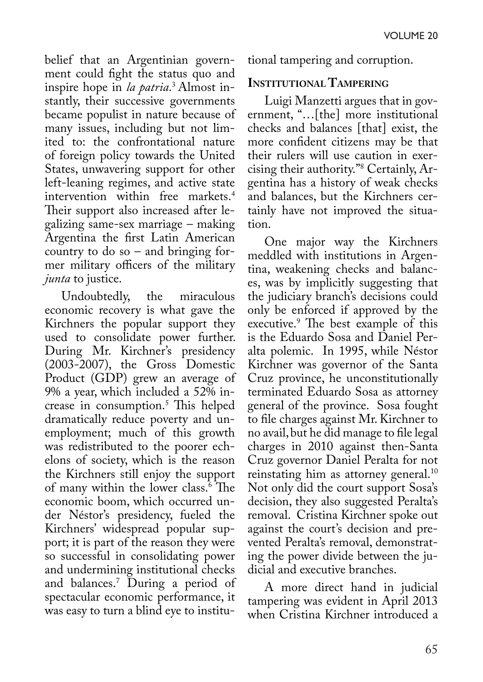belief that an Argentinian government could fight the status quo and inspire hope in *la patria*. 3 Almost instantly, their successive governments became populist in nature because of many issues, including but not limited to: the confrontational nature of foreign policy towards the United States, unwavering support for other left-leaning regimes, and active state intervention within free markets.4 Their support also increased after legalizing same-sex marriage – making Argentina the first Latin American country to do so  $-$  and bringing former military officers of the military *junta* to justice.

Undoubtedly, the miraculous economic recovery is what gave the Kirchners the popular support they used to consolidate power further. During Mr. Kirchner's presidency (2003-2007), the Gross Domestic Product (GDP) grew an average of 9% a year, which included a 52% increase in consumption.<sup>5</sup> This helped dramatically reduce poverty and unemployment; much of this growth was redistributed to the poorer echelons of society, which is the reason the Kirchners still enjoy the support of many within the lower class.<sup>6</sup> The economic boom, which occurred under Néstor's presidency, fueled the Kirchners' widespread popular support; it is part of the reason they were so successful in consolidating power and undermining institutional checks and balances.7 During a period of spectacular economic performance, it was easy to turn a blind eye to institutional tampering and corruption.

#### **Institutional Tampering**

Luigi Manzetti argues that in government, "…[the] more institutional checks and balances [that] exist, the more confident citizens may be that their rulers will use caution in exercising their authority."8 Certainly, Argentina has a history of weak checks and balances, but the Kirchners certainly have not improved the situation.

One major way the Kirchners meddled with institutions in Argentina, weakening checks and balances, was by implicitly suggesting that the judiciary branch's decisions could only be enforced if approved by the executive. $\frac{9}{1}$  The best example of this is the Eduardo Sosa and Daniel Peralta polemic. In 1995, while Néstor Kirchner was governor of the Santa Cruz province, he unconstitutionally terminated Eduardo Sosa as attorney general of the province. Sosa fought to file charges against Mr. Kirchner to no avail, but he did manage to file legal charges in 2010 against then-Santa Cruz governor Daniel Peralta for not reinstating him as attorney general.<sup>10</sup> Not only did the court support Sosa's decision, they also suggested Peralta's removal. Cristina Kirchner spoke out against the court's decision and prevented Peralta's removal, demonstrating the power divide between the judicial and executive branches.

A more direct hand in judicial tampering was evident in April 2013 when Cristina Kirchner introduced a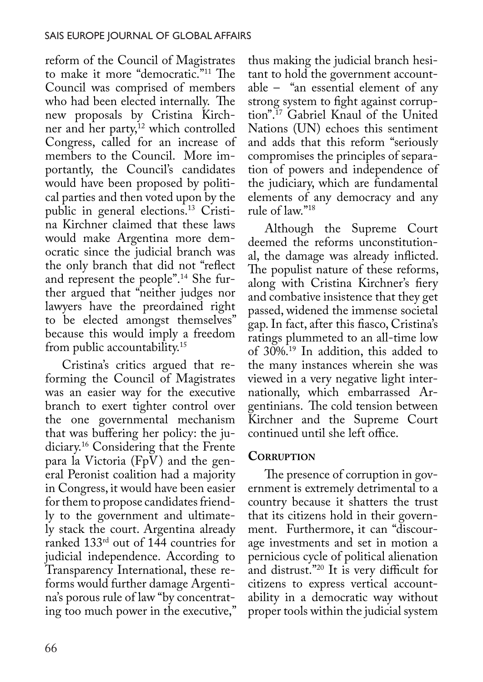reform of the Council of Magistrates to make it more "democratic."11 The Council was comprised of members who had been elected internally. The new proposals by Cristina Kirchner and her party,<sup>12</sup> which controlled Congress, called for an increase of members to the Council. More importantly, the Council's candidates would have been proposed by political parties and then voted upon by the public in general elections.13 Cristina Kirchner claimed that these laws would make Argentina more democratic since the judicial branch was the only branch that did not "reflect and represent the people".14 She further argued that "neither judges nor lawyers have the preordained right to be elected amongst themselves" because this would imply a freedom from public accountability.15

Cristina's critics argued that reforming the Council of Magistrates was an easier way for the executive branch to exert tighter control over the one governmental mechanism that was buffering her policy: the judiciary.16 Considering that the Frente para la Victoria (FpV) and the general Peronist coalition had a majority in Congress, it would have been easier for them to propose candidates friendly to the government and ultimately stack the court. Argentina already ranked 133rd out of 144 countries for judicial independence. According to Transparency International, these reforms would further damage Argentina's porous rule of law "by concentrating too much power in the executive,"

thus making the judicial branch hesitant to hold the government accountable – "an essential element of any strong system to fight against corruption".17 Gabriel Knaul of the United Nations (UN) echoes this sentiment and adds that this reform "seriously compromises the principles of separation of powers and independence of the judiciary, which are fundamental elements of any democracy and any rule of law."18

Although the Supreme Court deemed the reforms unconstitutional, the damage was already inflicted. The populist nature of these reforms, along with Cristina Kirchner's fiery and combative insistence that they get passed, widened the immense societal gap. In fact, after this fiasco, Cristina's ratings plummeted to an all-time low of 30%.19 In addition, this added to the many instances wherein she was viewed in a very negative light internationally, which embarrassed Argentinians. The cold tension between Kirchner and the Supreme Court continued until she left office.

#### **Corruption**

The presence of corruption in government is extremely detrimental to a country because it shatters the trust that its citizens hold in their government. Furthermore, it can "discourage investments and set in motion a pernicious cycle of political alienation and distrust."20 It is very difficult for citizens to express vertical accountability in a democratic way without proper tools within the judicial system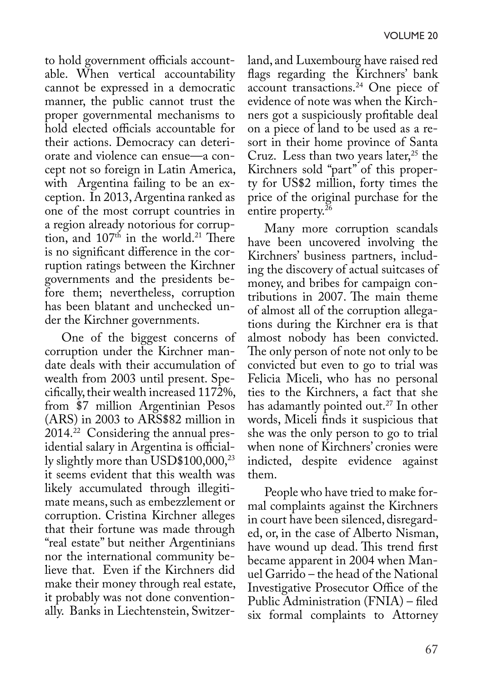to hold government officials accountable. When vertical accountability cannot be expressed in a democratic manner, the public cannot trust the proper governmental mechanisms to hold elected officials accountable for their actions. Democracy can deteriorate and violence can ensue—a concept not so foreign in Latin America, with Argentina failing to be an exception. In 2013, Argentina ranked as one of the most corrupt countries in a region already notorious for corruption, and  $107<sup>th</sup>$  in the world.<sup>21</sup> There is no significant difference in the corruption ratings between the Kirchner governments and the presidents before them; nevertheless, corruption has been blatant and unchecked under the Kirchner governments.

One of the biggest concerns of corruption under the Kirchner mandate deals with their accumulation of wealth from 2003 until present. Specifically, their wealth increased 1172%, from \$7 million Argentinian Pesos (ARS) in 2003 to ARS\$82 million in 2014.22 Considering the annual presidential salary in Argentina is officially slightly more than  $\text{USD$100,000}^{23}$ it seems evident that this wealth was likely accumulated through illegitimate means, such as embezzlement or corruption. Cristina Kirchner alleges that their fortune was made through "real estate" but neither Argentinians nor the international community believe that. Even if the Kirchners did make their money through real estate, it probably was not done conventionally. Banks in Liechtenstein, Switzer-

land, and Luxembourg have raised red flags regarding the Kirchners' bank account transactions.<sup>24</sup> One piece of evidence of note was when the Kirchners got a suspiciously profitable deal on a piece of land to be used as a resort in their home province of Santa Cruz. Less than two years later, $25$  the Kirchners sold "part" of this property for US\$2 million, forty times the price of the original purchase for the entire property.<sup>26</sup>

Many more corruption scandals have been uncovered involving the Kirchners' business partners, including the discovery of actual suitcases of money, and bribes for campaign contributions in 2007. The main theme of almost all of the corruption allegations during the Kirchner era is that almost nobody has been convicted. The only person of note not only to be convicted but even to go to trial was Felicia Miceli, who has no personal ties to the Kirchners, a fact that she has adamantly pointed out.<sup>27</sup> In other words, Miceli finds it suspicious that she was the only person to go to trial when none of Kirchners' cronies were indicted, despite evidence against them.

People who have tried to make formal complaints against the Kirchners in court have been silenced, disregarded, or, in the case of Alberto Nisman, have wound up dead. This trend first became apparent in 2004 when Manuel Garrido – the head of the National Investigative Prosecutor Office of the Public Administration (FNIA) – filed six formal complaints to Attorney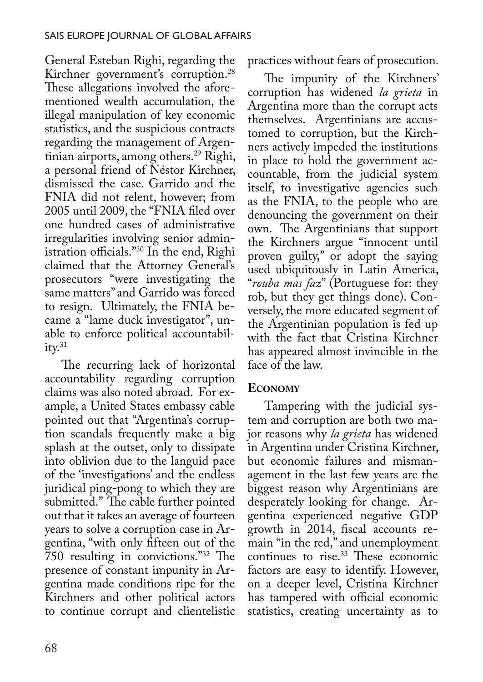General Esteban Righi, regarding the Kirchner government's corruption.<sup>28</sup> These allegations involved the aforementioned wealth accumulation, the illegal manipulation of key economic statistics, and the suspicious contracts regarding the management of Argentinian airports, among others.29 Righi, a personal friend of Néstor Kirchner, dismissed the case. Garrido and the FNIA did not relent, however; from 2005 until 2009, the "FNIA filed over one hundred cases of administrative irregularities involving senior administration officials."30 In the end, Righi claimed that the Attorney General's prosecutors "were investigating the same matters" and Garrido was forced to resign. Ultimately, the FNIA became a "lame duck investigator", unable to enforce political accountabil $ity.<sup>31</sup>$ 

The recurring lack of horizontal accountability regarding corruption claims was also noted abroad. For example, a United States embassy cable pointed out that "Argentina's corruption scandals frequently make a big splash at the outset, only to dissipate into oblivion due to the languid pace of the 'investigations' and the endless juridical ping-pong to which they are submitted." The cable further pointed out that it takes an average of fourteen years to solve a corruption case in Argentina, "with only fifteen out of the 750 resulting in convictions."32 The presence of constant impunity in Argentina made conditions ripe for the Kirchners and other political actors to continue corrupt and clientelistic practices without fears of prosecution.

The impunity of the Kirchners' corruption has widened *la grieta* in Argentina more than the corrupt acts themselves. Argentinians are accustomed to corruption, but the Kirchners actively impeded the institutions in place to hold the government accountable, from the judicial system itself, to investigative agencies such as the FNIA, to the people who are denouncing the government on their own. The Argentinians that support the Kirchners argue "innocent until proven guilty," or adopt the saying used ubiquitously in Latin America, "*rouba mas faz*" (Portuguese for: they rob, but they get things done). Conversely, the more educated segment of the Argentinian population is fed up with the fact that Cristina Kirchner has appeared almost invincible in the face of the law.

### **Economy**

Tampering with the judicial system and corruption are both two major reasons why *la grieta* has widened in Argentina under Cristina Kirchner, but economic failures and mismanagement in the last few years are the biggest reason why Argentinians are desperately looking for change. Argentina experienced negative GDP growth in 2014, fiscal accounts remain "in the red," and unemployment continues to rise.<sup>33</sup> These economic factors are easy to identify. However, on a deeper level, Cristina Kirchner has tampered with official economic statistics, creating uncertainty as to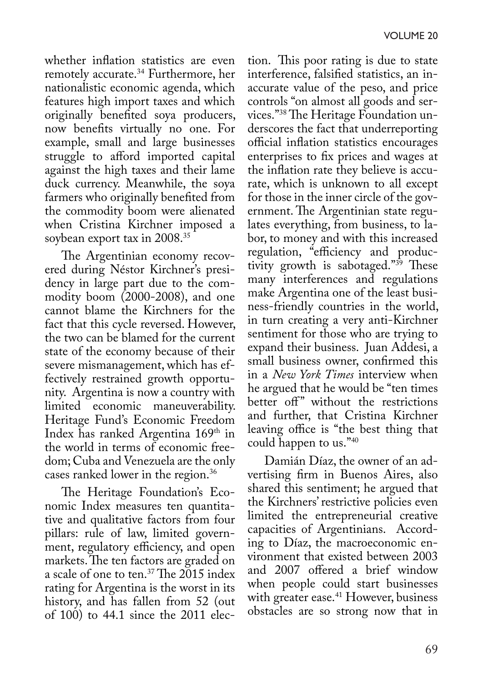whether inflation statistics are even remotely accurate.34 Furthermore, her nationalistic economic agenda, which features high import taxes and which originally benefited soya producers, now benefits virtually no one. For example, small and large businesses struggle to afford imported capital against the high taxes and their lame duck currency. Meanwhile, the soya farmers who originally benefited from the commodity boom were alienated when Cristina Kirchner imposed a soybean export tax in 2008.<sup>35</sup>

The Argentinian economy recovered during Néstor Kirchner's presidency in large part due to the commodity boom (2000-2008), and one cannot blame the Kirchners for the fact that this cycle reversed. However, the two can be blamed for the current state of the economy because of their severe mismanagement, which has effectively restrained growth opportunity. Argentina is now a country with limited economic maneuverability. Heritage Fund's Economic Freedom Index has ranked Argentina 169th in the world in terms of economic freedom; Cuba and Venezuela are the only cases ranked lower in the region.36

The Heritage Foundation's Economic Index measures ten quantitative and qualitative factors from four pillars: rule of law, limited government, regulatory efficiency, and open markets. The ten factors are graded on a scale of one to ten.37 The 2015 index rating for Argentina is the worst in its history, and has fallen from 52 (out of 100) to 44.1 since the 2011 elec-

tion. This poor rating is due to state interference, falsified statistics, an inaccurate value of the peso, and price controls "on almost all goods and services."38 The Heritage Foundation underscores the fact that underreporting official inflation statistics encourages enterprises to fix prices and wages at the inflation rate they believe is accurate, which is unknown to all except for those in the inner circle of the government. The Argentinian state regulates everything, from business, to labor, to money and with this increased regulation, "efficiency and productivity growth is sabotaged."39 These many interferences and regulations make Argentina one of the least business-friendly countries in the world, in turn creating a very anti-Kirchner sentiment for those who are trying to expand their business. Juan Addesi, a small business owner, confirmed this in a *New York Times* interview when he argued that he would be "ten times better off" without the restrictions and further, that Cristina Kirchner leaving office is "the best thing that could happen to us."40

Damián Díaz, the owner of an advertising firm in Buenos Aires, also shared this sentiment; he argued that the Kirchners' restrictive policies even limited the entrepreneurial creative capacities of Argentinians. According to Díaz, the macroeconomic environment that existed between 2003 and 2007 offered a brief window when people could start businesses with greater ease.<sup>41</sup> However, business obstacles are so strong now that in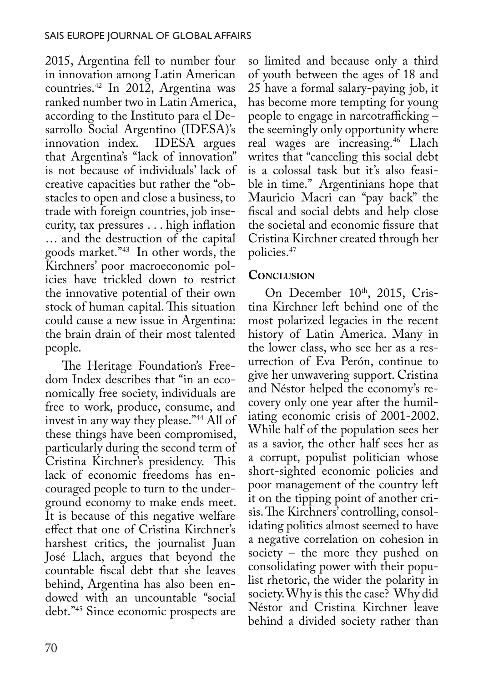2015, Argentina fell to number four in innovation among Latin American countries.42 In 2012, Argentina was ranked number two in Latin America, according to the Instituto para el Desarrollo Social Argentino (IDESA)'s<br>innovation index. IDESA argues innovation index. that Argentina's "lack of innovation" is not because of individuals' lack of creative capacities but rather the "obstacles to open and close a business, to trade with foreign countries, job insecurity, tax pressures . . . high inflation … and the destruction of the capital goods market."43 In other words, the Kirchners' poor macroeconomic policies have trickled down to restrict the innovative potential of their own stock of human capital. This situation could cause a new issue in Argentina: the brain drain of their most talented people.

The Heritage Foundation's Freedom Index describes that "in an economically free society, individuals are free to work, produce, consume, and invest in any way they please."44 All of these things have been compromised, particularly during the second term of Cristina Kirchner's presidency. This lack of economic freedoms has encouraged people to turn to the underground economy to make ends meet. It is because of this negative welfare effect that one of Cristina Kirchner's harshest critics, the journalist Juan José Llach, argues that beyond the countable fiscal debt that she leaves behind, Argentina has also been endowed with an uncountable "social debt."45 Since economic prospects are

so limited and because only a third of youth between the ages of 18 and 25 have a formal salary-paying job, it has become more tempting for young people to engage in narcotrafficking – the seemingly only opportunity where real wages are increasing.46 Llach writes that "canceling this social debt is a colossal task but it's also feasible in time." Argentinians hope that Mauricio Macri can "pay back" the fiscal and social debts and help close the societal and economic fissure that Cristina Kirchner created through her policies.47

#### **Conclusion**

On December 10th, 2015, Cristina Kirchner left behind one of the most polarized legacies in the recent history of Latin America. Many in the lower class, who see her as a resurrection of Eva Perón, continue to give her unwavering support. Cristina and Néstor helped the economy's recovery only one year after the humiliating economic crisis of 2001-2002. While half of the population sees her as a savior, the other half sees her as a corrupt, populist politician whose short-sighted economic policies and poor management of the country left it on the tipping point of another crisis. The Kirchners' controlling, consolidating politics almost seemed to have a negative correlation on cohesion in society – the more they pushed on consolidating power with their populist rhetoric, the wider the polarity in society. Why is this the case? Why did Néstor and Cristina Kirchner leave behind a divided society rather than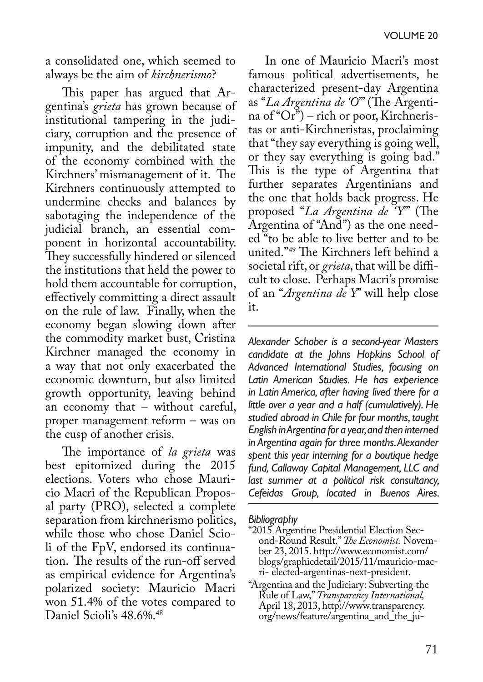a consolidated one, which seemed to always be the aim of *kirchnerismo*?

This paper has argued that Argentina's *grieta* has grown because of institutional tampering in the judiciary, corruption and the presence of impunity, and the debilitated state of the economy combined with the Kirchners' mismanagement of it. The Kirchners continuously attempted to undermine checks and balances by sabotaging the independence of the judicial branch, an essential component in horizontal accountability. They successfully hindered or silenced the institutions that held the power to hold them accountable for corruption, effectively committing a direct assault on the rule of law. Finally, when the economy began slowing down after the commodity market bust, Cristina Kirchner managed the economy in a way that not only exacerbated the economic downturn, but also limited growth opportunity, leaving behind an economy that – without careful, proper management reform – was on the cusp of another crisis.

The importance of *la grieta* was best epitomized during the 2015 elections. Voters who chose Mauricio Macri of the Republican Proposal party (PRO), selected a complete separation from kirchnerismo politics, while those who chose Daniel Scioli of the FpV, endorsed its continuation. The results of the run-off served as empirical evidence for Argentina's polarized society: Mauricio Macri won 51.4% of the votes compared to Daniel Scioli's 48.6%.<sup>48</sup>

In one of Mauricio Macri's most famous political advertisements, he characterized present-day Argentina as "*La Argentina de 'O*'" (The Argentina of "Or") – rich or poor, Kirchneristas or anti-Kirchneristas, proclaiming that "they say everything is going well, or they say everything is going bad." This is the type of Argentina that further separates Argentinians and the one that holds back progress. He proposed "*La Argentina de 'Y*'" (The Argentina of "And") as the one needed "to be able to live better and to be united."49 The Kirchners left behind a societal rift, or *grieta*, that will be difficult to close. Perhaps Macri's promise of an "*Argentina de Y*" will help close it.

*Alexander Schober is a second-year Masters candidate at the Johns Hopkins School of Advanced International Studies, focusing on Latin American Studies. He has experience in Latin America, after having lived there for a little over a year and a half (cumulatively). He studied abroad in Chile for four months, taught English in Argentina for a year, and then interned in Argentina again for three months. Alexander spent this year interning for a boutique hedge fund, Callaway Capital Management, LLC and last summer at a political risk consultancy, Cefeidas Group, located in Buenos Aires.* 

*Bibliography*

<sup>&</sup>quot;2015 Argentine Presidential Election Second-Round Result." *The Economist.* November 23, 2015. http://www.economist.com/ blogs/graphicdetail/2015/11/mauricio-macri- elected-argentinas-next-president.

<sup>&</sup>quot;Argentina and the Judiciary: Subverting the Rule of Law," *Transparency International,* April 18, 2013, http://www.transparency. org/news/feature/argentina\_and\_the\_ju-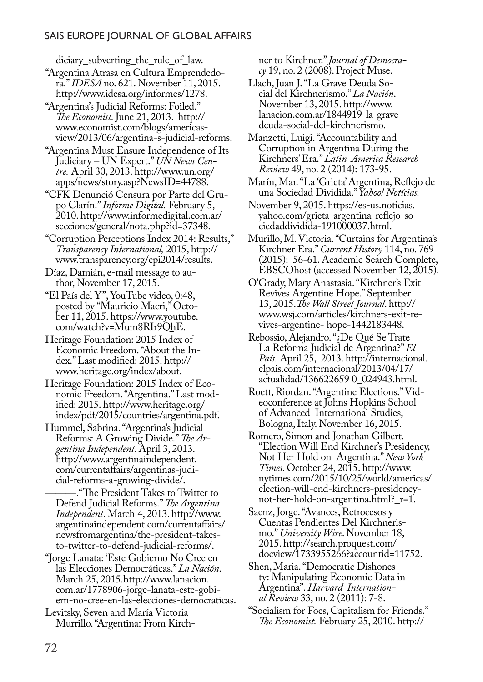diciary\_subverting\_the\_rule\_of\_law.

"Argentina Atrasa en Cultura Emprendedora." *IDESA* no. 621. November 11, 2015. http://www.idesa.org/informes/1278.

"Argentina's Judicial Reforms: Foiled." *The Economist.* June 21, 2013. http:// www.economist.com/blogs/americasview/2013/06/argentina-s-judicial-reforms.

"Argentina Must Ensure Independence of Its<br>Judiciary – UN Expert." UN News Cen*tre.* April 30, 2013. http://www.un.org/<br>apps/news/story.asp?NewsID=44788.<br>"CFK Denunció Censura por Parte del Gru-

po Clarín." *Informe Digital*. February 5, 2010. http://www.informedigital.com.ar/ secciones/general/nota.php?id=37348.

"Corruption Perceptions Index 2014: Results,"<br>Transparency International, 2015, http:// *Transparency International,* 2015, http:// www.transparency.org/cpi2014/results.

Díaz, Damián, e-mail message to author, November 17, 2015.

"El País del Y", YouTube video, 0:48, posted by "Mauricio Macri," October 11, 2015. https://www.youtube. com/watch?v=Mum8RIr9QhE.<br>Heritage Foundation: 2015 Index of

Economic Freedom. "About the In-<br>dex." Last modified: 2015. http:// www.heritage.org/index/about.

Heritage Foundation: 2015 Index of Economic Freedom. "Argentina." Last modified: 2015. http://www.heritage.org/ index/pdf/2015/countries/argentina.pdf.

Hummel, Sabrina. "Argentina's Judicial Reforms: A Growing Divide." *The Argentina Independent*. April 3, 2013. http://www.argentinaindependent. com/currentaffairs/argentinas-judicial-reforms-a-growing-divide/.

———."The President Takes to Twitter to Defend Judicial Reforms." *The Argentina*  argentinaindependent.com/currentaffairs/ newsfromargentina/the-president-takesto-twitter-to-defend-judicial-reforms/.

"Jorge Lanata: 'Este Gobierno No Cree en<br>las Elecciones Democráticas." La Nación. las Elecciones Democráticas." *La Nación*. March 25, 2015.http://www.lanacion. com.ar/1778906-jorge-lanata-este-gobiern-no-cree-en-las-elecciones-democraticas.

Levitsky, Seven and María Victoria Murrillo. "Argentina: From Kirchner to Kirchner." *Journal of Democra- cy* 19, no. 2 (2008). Project Muse.

Llach, Juan J. "La Grave Deuda Social del Kirchnerismo." *La Nación*. November 13, 2015. http://www. lanacion.com.ar/1844919-la-gravedeuda-social-del-kirchnerismo.

Manzetti, Luigi. "Accountability and Corruption in Argentina During the Kirchners' Era." *Latin America Research Review* 49, no. 2 (2014): 173-95.

Marín, Mar. "La 'Grieta' Argentina, Reflejo de una Sociedad Dividida." *Yahoo! Notícias.* 

November 9, 2015. https://es-us.noticias. yahoo.com/grieta-argentina-reflejo-so- ciedaddividida-191000037.html.

Murillo, M. Victoria. "Curtains for Argentina's Kirchner Era." *Current History* 114, no. 769 (2015): 56-61. Academic Search Complete, EBSCOhost (accessed November 12, 2015).

O'Grady, Mary Anastasia. "Kirchner's Exit Revives Argentine Hope." September 13, 2015.*The Wall Street Journal*. http:// www.wsj.com/articles/kirchners-exit-revives-argentine- hope-1442183448.

Rebossio, Alejandro. "¿De Qué Se Trate La Reforma Judicial de Argentina?" *El País.* April 25, 2013. http://internacional. elpais.com/internacional/2013/04/17/

actualidad/136622659 0\_024943.html. eoconference at Johns Hopkins School of Advanced International Studies, Bologna, Italy. November 16, 2015.

Romero, Simon and Jonathan Gilbert. "Election Will End Kirchner's Presidency, Not Her Hold on Argentina." *New York*  nytimes.com/2015/10/25/world/americas/ election-will-end-kirchners-presidencynot-her-hold-on-argentina.html?\_r=1.

Saenz, Jorge. "Avances, Retrocesos y mo." *University Wire*. November 18, 2015. http://search.proquest.com/ docview/1733955266?accountid=11752.

Shen, Maria. "Democratic Dishones- ty: Manipulating Economic Data in Argentina". *Harvard International Review* 33, no. 2 (2011): 7-8.

"Socialism for Foes, Capitalism for Friends." *The Economist.* February 25, 2010. http://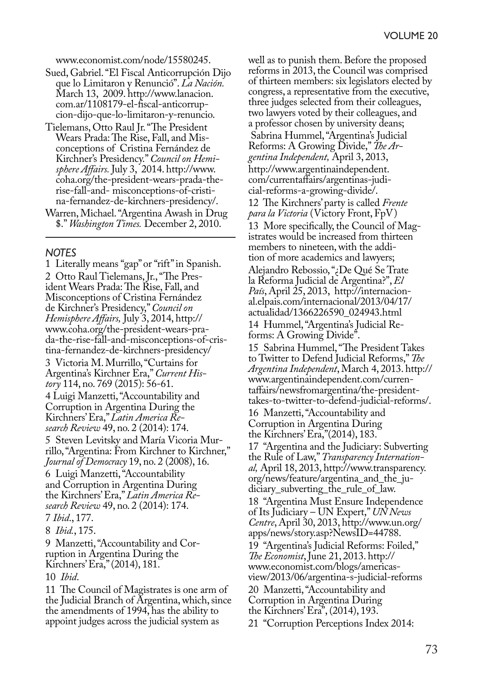www.economist.com/node/15580245.

- Sued, Gabriel. "El Fiscal Anticorrupción Dijo que lo Limitaron y Renunció". *La Nación.*  March 13, 2009. http://www.lanacion. com.ar/1108179-el-fiscal-anticorrupcion-dijo-que-lo-limitaron-y-renuncio.
- Tielemans, Otto Raul Jr. "The President Wears Prada: The Rise, Fall, and Misconceptions of Cristina Fernández de Kirchner's Presidency." *Council on Hemisphere Affairs.* July 3, 2014. http://www. coha.org/the-president-wears-prada-therise-fall-and- misconceptions-of-cristina-fernandez-de-kirchners-presidency/.
- Warren, Michael. "Argentina Awash in Drug \$." *Washington Times.* December 2, 2010.

#### *NOTES*

1 Literally means "gap" or "rift" in Spanish.<br>2 Otto Raul Tielemans, Jr., "The President Wears Prada: The Rise, Fall, and Misconceptions of Cristina Fernández de Kirchner's Presidency," *Council on Hemisphere Affairs,* July 3, 2014, http:// www.coha.org/the-president-wears-pra- da-the-rise-fall-and-misconceptions-of-cris- tina-fernandez-de-kirchners-presidency/ 3 Victoria M. Murrillo, "Curtains for Argentina's Kirchner Era," *Current History* 114, no. 769 (2015): 56-61. 4 Luigi Manzetti, "Accountability and Corruption in Argentina During the Kirchners' Era," *Latin America Research Review* 49, no. 2 (2014): 174. rillo, "Argentina: From Kirchner to Kirchner," *Journal of Democracy* 19, no. 2 (2008), 16. 6 Luigi Manzetti, "Accountability and Corruption in Argentina During<br>the Kirchners' Era," Latin America Re-

*search Review* 49, no. 2 (2014): 174.

7 *Ibid*., 177.

8 *Ibid.*, 175.

9 Manzetti, "Accountability and Cor- ruption in Argentina During the Kirchners' Era," (2014), 181.

10 *Ibid*.

11 The Council of Magistrates is one arm of the Judicial Branch of Argentina, which, since the amendments of 1994, has the ability to appoint judges across the judicial system as

well as to punish them. Before the proposed reforms in 2013, the Council was comprised of thirteen members: six legislators elected by congress, a representative from the executive, three judges selected from their colleagues, two lawyers voted by their colleagues, and a professor chosen by university deans; Sabrina Hummel, "Argentina's Judicial Reforms: A Growing Divide," *The Argentina Independent,* April 3, 2013, http://www.argentinaindependent. com/currentaffairs/argentinas-judicial-reforms-a-growing-divide/. 12 The Kirchners' party is called *Frente para la Victoria* (Victory Front, FpV) istrates would be increased from thirteen<br>members to nineteen, with the addition of more academics and lawyers; Alejandro Rebossio, "¿De Qué Se Trate la Reforma Judicial de Argentina?", *El País*, April 25, 2013, http://internacion- al.elpais.com/internacional/2013/04/17/ actualidad/1366226590\_024943.html 14 Hummel, "Argentina's Judicial Reforms: A Growing Divide". 15 Sabrina Hummel, "The President Takes to Twitter to Defend Judicial Reforms," *The*  www.argentinaindependent.com/curren-<br>taffairs/newsfromargentina/the-presidenttakes-to-twitter-to-defend-judicial-reforms/. 16 Manzetti, "Accountability and Corruption in Argentina During the Kirchners' Era,"(2014), 183. 17 "Argentina and the Judiciary: Subverting<br>the Rule of Law," Transparency International, April 18, 2013, http://www.transparency. org/news/feature/argentina\_and\_the\_ju- diciary\_subverting\_the\_rule\_of\_law. 18 "Argentina Must Ensure Independence of Its Judiciary – UN Expert," *UN News*  apps/news/story.asp?NewsID=44788. 19 "Argentina's Judicial Reforms: Foiled,"<br>The Economist, June 21, 2013. http:// *The Economist*, June 21, 2013. http:// www.economist.com/blogs/americas- view/2013/06/argentina-s-judicial-reforms 20 Manzetti, "Accountability and Corruption in Argentina During the Kirchners' Era", (2014), 193. 21 "Corruption Perceptions Index 2014: